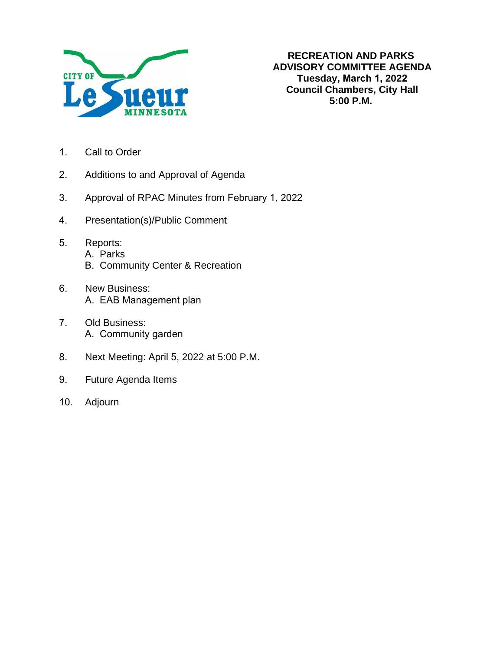

- 1. Call to Order
- 2. Additions to and Approval of Agenda
- 3. Approval of RPAC Minutes from February 1, 2022
- 4. Presentation(s)/Public Comment
- 5. Reports:
	- A. Parks
		- B. Community Center & Recreation
- 6. New Business: A. EAB Management plan
- 7. Old Business: A. Community garden
- 8. Next Meeting: April 5, 2022 at 5:00 P.M.
- 9. Future Agenda Items
- 10. Adjourn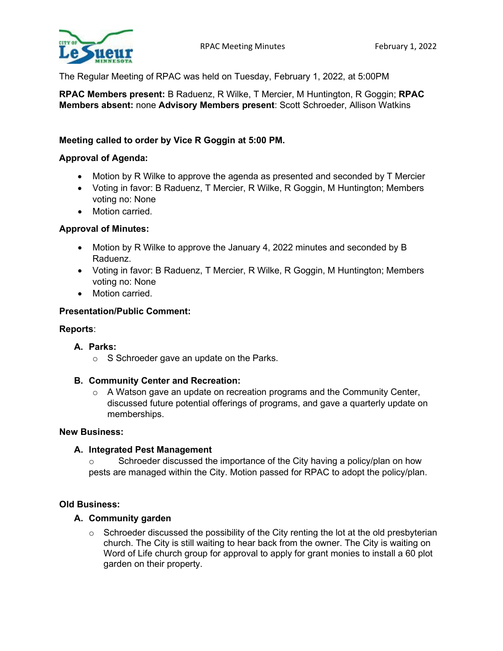

The Regular Meeting of RPAC was held on Tuesday, February 1, 2022, at 5:00PM

**RPAC Members present:** B Raduenz, R Wilke, T Mercier, M Huntington, R Goggin; **RPAC Members absent:** none **Advisory Members present**: Scott Schroeder, Allison Watkins

# **Meeting called to order by Vice R Goggin at 5:00 PM.**

## **Approval of Agenda:**

- Motion by R Wilke to approve the agenda as presented and seconded by T Mercier
- Voting in favor: B Raduenz, T Mercier, R Wilke, R Goggin, M Huntington; Members voting no: None
- Motion carried.

## **Approval of Minutes:**

- Motion by R Wilke to approve the January 4, 2022 minutes and seconded by B Raduenz.
- Voting in favor: B Raduenz, T Mercier, R Wilke, R Goggin, M Huntington; Members voting no: None
- Motion carried.

## **Presentation/Public Comment:**

## **Reports**:

## **A. Parks:**

o S Schroeder gave an update on the Parks.

## **B. Community Center and Recreation:**

 $\circ$  A Watson gave an update on recreation programs and the Community Center, discussed future potential offerings of programs, and gave a quarterly update on memberships.

## **New Business:**

## **A. Integrated Pest Management**

o Schroeder discussed the importance of the City having a policy/plan on how pests are managed within the City. Motion passed for RPAC to adopt the policy/plan.

## **Old Business:**

## **A. Community garden**

 $\circ$  Schroeder discussed the possibility of the City renting the lot at the old presbyterian church. The City is still waiting to hear back from the owner. The City is waiting on Word of Life church group for approval to apply for grant monies to install a 60 plot garden on their property.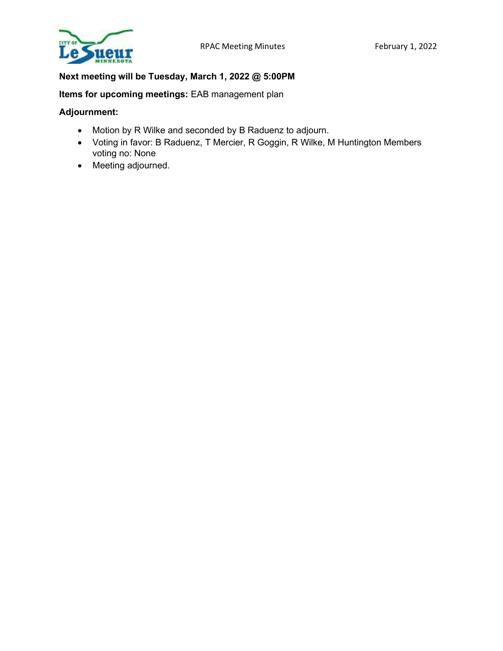

# **Next meeting will be Tuesday, March 1, 2022 @ 5:00PM**

**Items for upcoming meetings:** EAB management plan

## **Adjournment:**

- Motion by R Wilke and seconded by B Raduenz to adjourn.
- Voting in favor: B Raduenz, T Mercier, R Goggin, R Wilke, M Huntington Members voting no: None
- Meeting adjourned.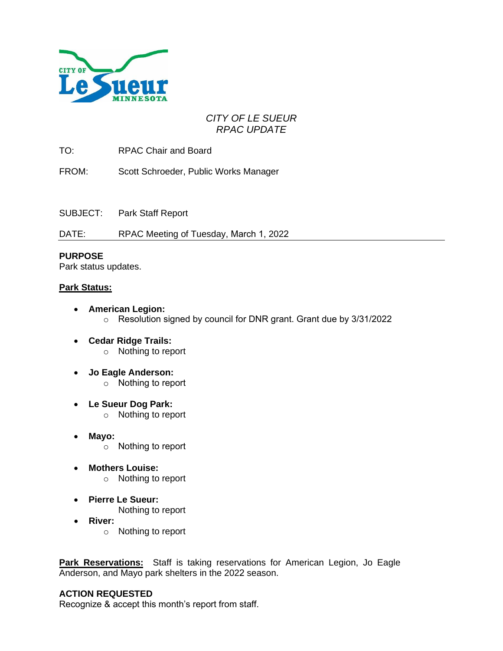

# *CITY OF LE SUEUR RPAC UPDATE*

TO: RPAC Chair and Board

FROM: Scott Schroeder, Public Works Manager

SUBJECT: Park Staff Report

DATE: RPAC Meeting of Tuesday, March 1, 2022

## **PURPOSE**

Park status updates.

## **Park Status:**

- **American Legion:**
	- o Resolution signed by council for DNR grant. Grant due by 3/31/2022
- **Cedar Ridge Trails:** o Nothing to report
- **Jo Eagle Anderson:** o Nothing to report
- **Le Sueur Dog Park:** o Nothing to report
- **Mayo:**
	- o Nothing to report
- **Mothers Louise:**
	- o Nothing to report
- **Pierre Le Sueur:** Nothing to report
- **River:**
	- o Nothing to report

**Park Reservations:** Staff is taking reservations for American Legion, Jo Eagle Anderson, and Mayo park shelters in the 2022 season.

## **ACTION REQUESTED**

Recognize & accept this month's report from staff.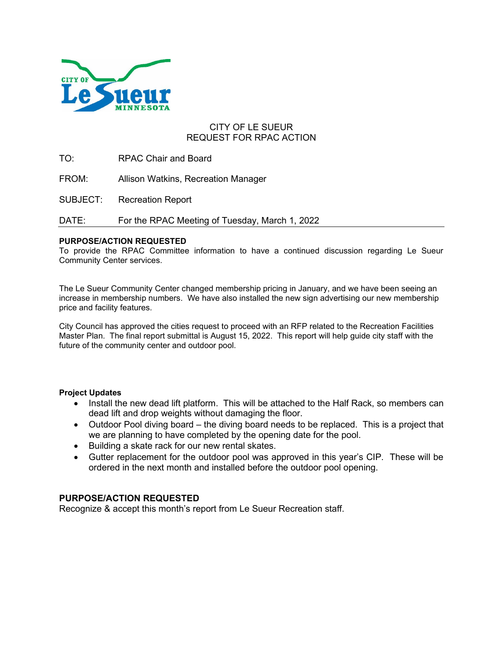

## CITY OF LE SUEUR REQUEST FOR RPAC ACTION

TO: RPAC Chair and Board

FROM: Allison Watkins, Recreation Manager

SUBJECT: Recreation Report

DATE: For the RPAC Meeting of Tuesday, March 1, 2022

#### **PURPOSE/ACTION REQUESTED**

To provide the RPAC Committee information to have a continued discussion regarding Le Sueur Community Center services.

The Le Sueur Community Center changed membership pricing in January, and we have been seeing an increase in membership numbers. We have also installed the new sign advertising our new membership price and facility features.

City Council has approved the cities request to proceed with an RFP related to the Recreation Facilities Master Plan. The final report submittal is August 15, 2022. This report will help guide city staff with the future of the community center and outdoor pool.

#### **Project Updates**

- Install the new dead lift platform. This will be attached to the Half Rack, so members can dead lift and drop weights without damaging the floor.
- Outdoor Pool diving board the diving board needs to be replaced. This is a project that we are planning to have completed by the opening date for the pool.
- Building a skate rack for our new rental skates.
- Gutter replacement for the outdoor pool was approved in this year's CIP. These will be ordered in the next month and installed before the outdoor pool opening.

## **PURPOSE/ACTION REQUESTED**

Recognize & accept this month's report from Le Sueur Recreation staff.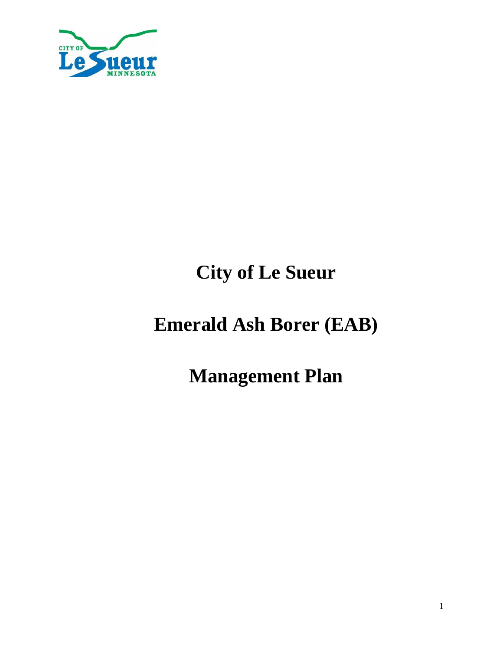

# **City of Le Sueur**

# **Emerald Ash Borer (EAB)**

**Management Plan**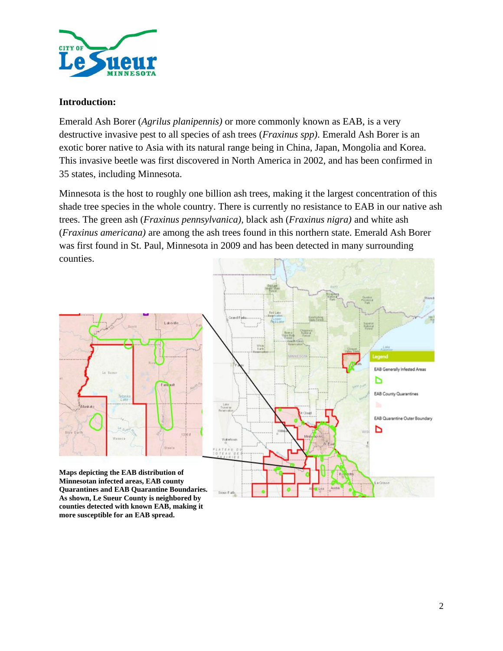

## **Introduction:**

Emerald Ash Borer (*Agrilus planipennis)* or more commonly known as EAB, is a very destructive invasive pest to all species of ash trees (*Fraxinus spp)*. Emerald Ash Borer is an exotic borer native to Asia with its natural range being in China, Japan, Mongolia and Korea. This invasive beetle was first discovered in North America in 2002, and has been confirmed in 35 states, including Minnesota.

Minnesota is the host to roughly one billion ash trees, making it the largest concentration of this shade tree species in the whole country. There is currently no resistance to EAB in our native ash trees. The green ash (*Fraxinus pennsylvanica),* black ash (*Fraxinus nigra)* and white ash (*Fraxinus americana)* are among the ash trees found in this northern state. Emerald Ash Borer was first found in St. Paul, Minnesota in 2009 and has been detected in many surrounding counties.



**counties detected with known EAB, making it more susceptible for an EAB spread.**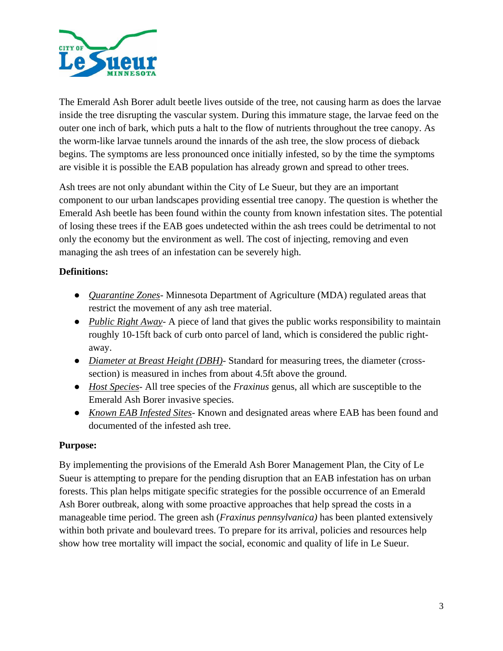

The Emerald Ash Borer adult beetle lives outside of the tree, not causing harm as does the larvae inside the tree disrupting the vascular system. During this immature stage, the larvae feed on the outer one inch of bark, which puts a halt to the flow of nutrients throughout the tree canopy. As the worm-like larvae tunnels around the innards of the ash tree, the slow process of dieback begins. The symptoms are less pronounced once initially infested, so by the time the symptoms are visible it is possible the EAB population has already grown and spread to other trees.

Ash trees are not only abundant within the City of Le Sueur, but they are an important component to our urban landscapes providing essential tree canopy. The question is whether the Emerald Ash beetle has been found within the county from known infestation sites. The potential of losing these trees if the EAB goes undetected within the ash trees could be detrimental to not only the economy but the environment as well. The cost of injecting, removing and even managing the ash trees of an infestation can be severely high.

# **Definitions:**

- *Quarantine Zones-* Minnesota Department of Agriculture (MDA) regulated areas that restrict the movement of any ash tree material.
- *Public Right Away-* A piece of land that gives the public works responsibility to maintain roughly 10-15ft back of curb onto parcel of land, which is considered the public rightaway.
- *Diameter at Breast Height (DBH)*-Standard for measuring trees, the diameter (crosssection) is measured in inches from about 4.5ft above the ground.
- *Host Species-* All tree species of the *Fraxinus* genus, all which are susceptible to the Emerald Ash Borer invasive species.
- *Known EAB Infested Sites-* Known and designated areas where EAB has been found and documented of the infested ash tree.

# **Purpose:**

By implementing the provisions of the Emerald Ash Borer Management Plan, the City of Le Sueur is attempting to prepare for the pending disruption that an EAB infestation has on urban forests. This plan helps mitigate specific strategies for the possible occurrence of an Emerald Ash Borer outbreak, along with some proactive approaches that help spread the costs in a manageable time period. The green ash (*Fraxinus pennsylvanica)* has been planted extensively within both private and boulevard trees. To prepare for its arrival, policies and resources help show how tree mortality will impact the social, economic and quality of life in Le Sueur.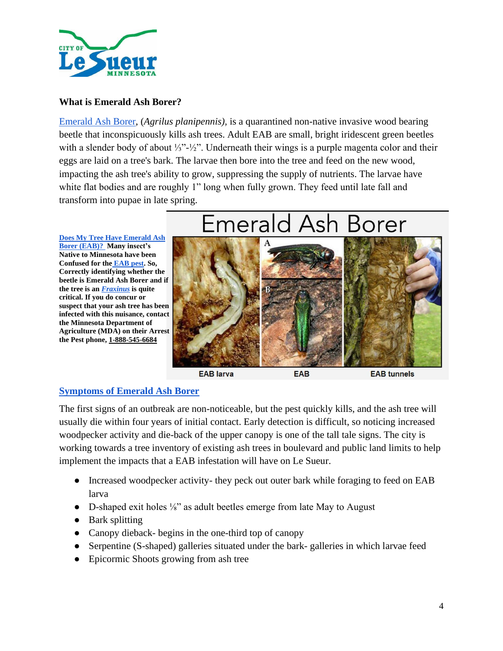

# **What is Emerald Ash Borer?**

[Emerald Ash Borer,](https://www.dnr.state.mn.us/invasives/terrestrialanimals/eab/index.html) (*Agrilus planipennis),* is a quarantined non-native invasive wood bearing beetle that inconspicuously kills ash trees. Adult EAB are small, bright iridescent green beetles with a slender body of about ⅓"-½". Underneath their wings is a purple magenta color and their eggs are laid on a tree's bark. The larvae then bore into the tree and feed on the new wood, impacting the ash tree's ability to grow, suppressing the supply of nutrients. The larvae have white flat bodies and are roughly 1" long when fully grown. They feed until late fall and transform into pupae in late spring.

**[Does My Tree Have Emerald Ash](https://www.wayzata.org/DocumentCenter/View/113/Do-I-have-EAB-PDF)  [Borer \(EAB\)?](https://www.wayzata.org/DocumentCenter/View/113/Do-I-have-EAB-PDF) Many insect's Native to Minnesota have been Confused for the [EAB pest.](https://www.burnsvillemn.gov/DocumentCenter/View/9738/EAB-lookalikes_M1242-9?bidId=) So, Correctly identifying whether the beetle is Emerald Ash Borer and if the tree is an** *[Fraxinus](https://www.dnr.state.mn.us/invasives/terrestrialanimals/eab/idashtrees.html)* **is quite critical. If you do concur or suspect that your ash tree has been infected with this nuisance, contact the Minnesota Department of Agriculture (MDA) on their Arrest the Pest phone, 1-888-545-6684**

# Emerald Ash Borer



**EAB** larva

**EAB** tunnels

# **[Symptoms of Emerald Ash Borer](https://extension.umn.edu/tree-and-shrub-insects/emerald-ash-borers)**

The first signs of an outbreak are non-noticeable, but the pest quickly kills, and the ash tree will usually die within four years of initial contact. Early detection is difficult, so noticing increased woodpecker activity and die-back of the upper canopy is one of the tall tale signs. The city is working towards a tree inventory of existing ash trees in boulevard and public land limits to help implement the impacts that a EAB infestation will have on Le Sueur.

- Increased woodpecker activity- they peck out outer bark while foraging to feed on EAB larva
- D-shaped exit holes ¼" as adult beetles emerge from late May to August
- Bark splitting
- Canopy dieback- begins in the one-third top of canopy
- Serpentine (S-shaped) galleries situated under the bark- galleries in which larvae feed
- Epicormic Shoots growing from ash tree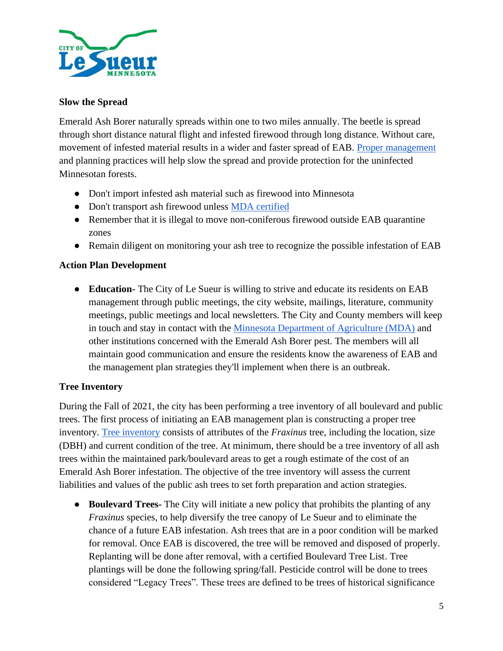

# **Slow the Spread**

Emerald Ash Borer naturally spreads within one to two miles annually. The beetle is spread through short distance natural flight and infested firewood through long distance. Without care, movement of infested material results in a wider and faster spread of EAB. [Proper management](https://www.mda.state.mn.us/best-management-practices-eab) and planning practices will help slow the spread and provide protection for the uninfected Minnesotan forests.

- Don't import infested ash material such as firewood into Minnesota
- Don't transport ash firewood unless [MDA certified](https://www.mda.state.mn.us/plants-insects/firewood-producers)
- Remember that it is illegal to move non-coniferous firewood outside EAB quarantine zones
- Remain diligent on monitoring your ash tree to recognize the possible infestation of EAB

# **Action Plan Development**

● **Education-** The City of Le Sueur is willing to strive and educate its residents on EAB management through public meetings, the city website, mailings, literature, community meetings, public meetings and local newsletters. The City and County members will keep in touch and stay in contact with the [Minnesota Department of Agriculture \(MDA\)](https://mn.gov/mda/search/?query=EAB) and other institutions concerned with the Emerald Ash Borer pest. The members will all maintain good communication and ensure the residents know the awareness of EAB and the management plan strategies they'll implement when there is an outbreak.

# **Tree Inventory**

During the Fall of 2021, the city has been performing a tree inventory of all boulevard and public trees. The first process of initiating an EAB management plan is constructing a proper tree inventory. [Tree inventory](https://trees.umn.edu/outreach/community-tree-inventories) consists of attributes of the *Fraxinus* tree, including the location, size (DBH) and current condition of the tree. At minimum, there should be a tree inventory of all ash trees within the maintained park/boulevard areas to get a rough estimate of the cost of an Emerald Ash Borer infestation. The objective of the tree inventory will assess the current liabilities and values of the public ash trees to set forth preparation and action strategies.

● **Boulevard Trees-** The City will initiate a new policy that prohibits the planting of any *Fraxinus* species, to help diversify the tree canopy of Le Sueur and to eliminate the chance of a future EAB infestation. Ash trees that are in a poor condition will be marked for removal. Once EAB is discovered, the tree will be removed and disposed of properly. Replanting will be done after removal, with a certified Boulevard Tree List. Tree plantings will be done the following spring/fall. Pesticide control will be done to trees considered "Legacy Trees". These trees are defined to be trees of historical significance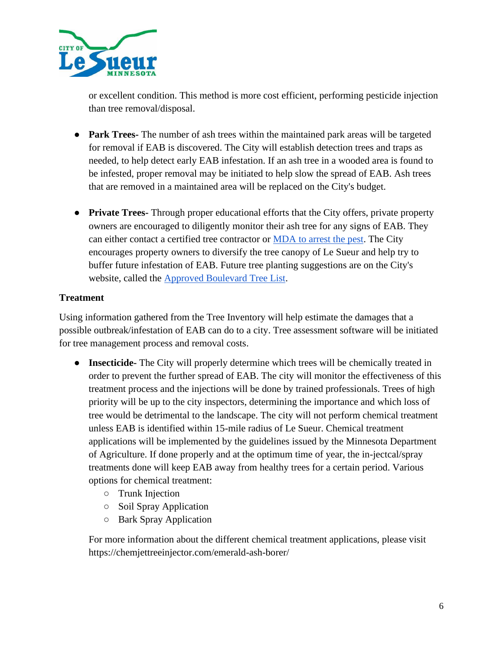

or excellent condition. This method is more cost efficient, performing pesticide injection than tree removal/disposal.

- **Park Trees-** The number of ash trees within the maintained park areas will be targeted for removal if EAB is discovered. The City will establish detection trees and traps as needed, to help detect early EAB infestation. If an ash tree in a wooded area is found to be infested, proper removal may be initiated to help slow the spread of EAB. Ash trees that are removed in a maintained area will be replaced on the City's budget.
- **Private Trees-** Through proper educational efforts that the City offers, private property owners are encouraged to diligently monitor their ash tree for any signs of EAB. They can either contact a certified tree contractor or [MDA to arrest the pest.](https://www.mda.state.mn.us/reportapest) The City encourages property owners to diversify the tree canopy of Le Sueur and help try to buffer future infestation of EAB. Future tree planting suggestions are on the City's website, called the [Approved Boulevard Tree List.](https://www.cityoflesueur.com/DocumentCenter/View/2923/Approved-Boulevard-Tree-List?bidId=)

# **Treatment**

Using information gathered from the Tree Inventory will help estimate the damages that a possible outbreak/infestation of EAB can do to a city. Tree assessment software will be initiated for tree management process and removal costs.

- **Insecticide-** The City will properly determine which trees will be chemically treated in order to prevent the further spread of EAB. The city will monitor the effectiveness of this treatment process and the injections will be done by trained professionals. Trees of high priority will be up to the city inspectors, determining the importance and which loss of tree would be detrimental to the landscape. The city will not perform chemical treatment unless EAB is identified within 15-mile radius of Le Sueur. Chemical treatment applications will be implemented by the guidelines issued by the Minnesota Department of Agriculture. If done properly and at the optimum time of year, the in-jectcal/spray treatments done will keep EAB away from healthy trees for a certain period. Various options for chemical treatment:
	- Trunk Injection
	- Soil Spray Application
	- Bark Spray Application

For more information about the different chemical treatment applications, please visit https://chemjettreeinjector.com/emerald-ash-borer/